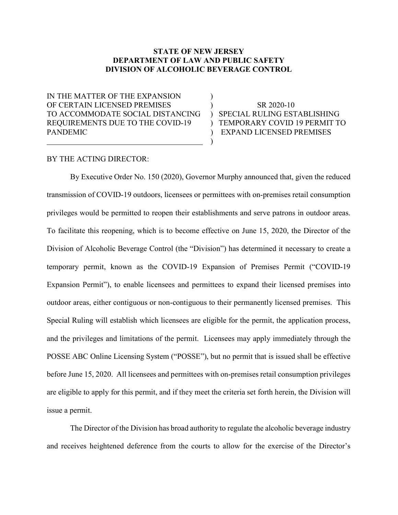# STATE OF NEW JERSEY DEPARTMENT OF LAW AND PUBLIC SAFETY DIVISION OF ALCOHOLIC BEVERAGE CONTROL

IN THE MATTER OF THE EXPANSION  $\qquad\qquad$  ) OF CERTAIN LICENSED PREMISES ) SR 2020-10 TO ACCOMMODATE SOCIAL DISTANCING ) SPECIAL RULING ESTABLISHING REQUIREMENTS DUE TO THE COVID-19 ) TEMPORARY COVID 19 PERMIT TO PANDEMIC ) EXPAND LICENSED PREMISES  $\overline{\phantom{a}}$  )

#### BY THE ACTING DIRECTOR:

 By Executive Order No. 150 (2020), Governor Murphy announced that, given the reduced transmission of COVID-19 outdoors, licensees or permittees with on-premises retail consumption privileges would be permitted to reopen their establishments and serve patrons in outdoor areas. To facilitate this reopening, which is to become effective on June 15, 2020, the Director of the Division of Alcoholic Beverage Control (the "Division") has determined it necessary to create a temporary permit, known as the COVID-19 Expansion of Premises Permit ("COVID-19 Expansion Permit"), to enable licensees and permittees to expand their licensed premises into outdoor areas, either contiguous or non-contiguous to their permanently licensed premises. This Special Ruling will establish which licensees are eligible for the permit, the application process, and the privileges and limitations of the permit. Licensees may apply immediately through the POSSE ABC Online Licensing System ("POSSE"), but no permit that is issued shall be effective before June 15, 2020. All licensees and permittees with on-premises retail consumption privileges are eligible to apply for this permit, and if they meet the criteria set forth herein, the Division will issue a permit.

The Director of the Division has broad authority to regulate the alcoholic beverage industry and receives heightened deference from the courts to allow for the exercise of the Director's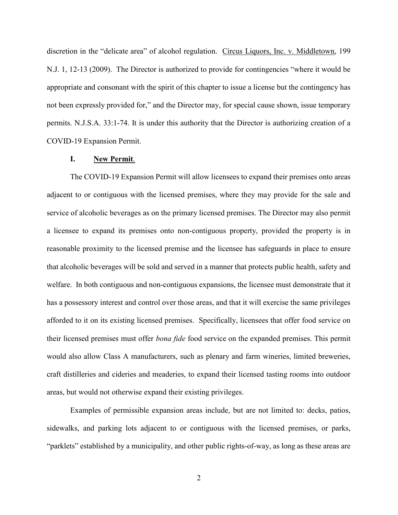discretion in the "delicate area" of alcohol regulation. Circus Liquors, Inc. v. Middletown, 199 N.J. 1, 12-13 (2009). The Director is authorized to provide for contingencies "where it would be appropriate and consonant with the spirit of this chapter to issue a license but the contingency has not been expressly provided for," and the Director may, for special cause shown, issue temporary permits. N.J.S.A. 33:1-74. It is under this authority that the Director is authorizing creation of a COVID-19 Expansion Permit.

#### I. New Permit.

The COVID-19 Expansion Permit will allow licensees to expand their premises onto areas adjacent to or contiguous with the licensed premises, where they may provide for the sale and service of alcoholic beverages as on the primary licensed premises. The Director may also permit a licensee to expand its premises onto non-contiguous property, provided the property is in reasonable proximity to the licensed premise and the licensee has safeguards in place to ensure that alcoholic beverages will be sold and served in a manner that protects public health, safety and welfare. In both contiguous and non-contiguous expansions, the licensee must demonstrate that it has a possessory interest and control over those areas, and that it will exercise the same privileges afforded to it on its existing licensed premises. Specifically, licensees that offer food service on their licensed premises must offer bona fide food service on the expanded premises. This permit would also allow Class A manufacturers, such as plenary and farm wineries, limited breweries, craft distilleries and cideries and meaderies, to expand their licensed tasting rooms into outdoor areas, but would not otherwise expand their existing privileges.

Examples of permissible expansion areas include, but are not limited to: decks, patios, sidewalks, and parking lots adjacent to or contiguous with the licensed premises, or parks, "parklets" established by a municipality, and other public rights-of-way, as long as these areas are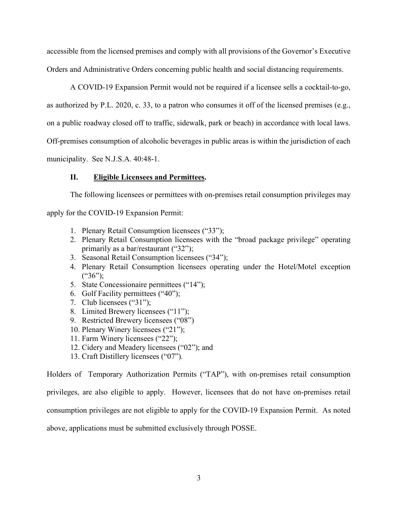accessible from the licensed premises and comply with all provisions of the Governor's Executive Orders and Administrative Orders concerning public health and social distancing requirements.

A COVID-19 Expansion Permit would not be required if a licensee sells a cocktail-to-go, as authorized by P.L. 2020, c. 33, to a patron who consumes it off of the licensed premises (e.g., on a public roadway closed off to traffic, sidewalk, park or beach) in accordance with local laws. Off-premises consumption of alcoholic beverages in public areas is within the jurisdiction of each municipality. See N.J.S.A. 40:48-1.

## II. Eligible Licensees and Permittees.

The following licensees or permittees with on-premises retail consumption privileges may apply for the COVID-19 Expansion Permit:

- 1. Plenary Retail Consumption licensees ("33");
- 2. Plenary Retail Consumption licensees with the "broad package privilege" operating primarily as a bar/restaurant ("32");
- 3. Seasonal Retail Consumption licensees ("34");
- 4. Plenary Retail Consumption licensees operating under the Hotel/Motel exception  $(*36")$ ;
- 5. State Concessionaire permittees ("14");
- 6. Golf Facility permittees ("40");
- 7. Club licensees ("31");
- 8. Limited Brewery licensees ("11");
- 9. Restricted Brewery licensees ("08")
- 10. Plenary Winery licensees ("21");
- 11. Farm Winery licensees ("22");
- 12. Cidery and Meadery licensees ("02"); and
- 13. Craft Distillery licensees ("07").

Holders of Temporary Authorization Permits ("TAP"), with on-premises retail consumption privileges, are also eligible to apply. However, licensees that do not have on-premises retail consumption privileges are not eligible to apply for the COVID-19 Expansion Permit. As noted above, applications must be submitted exclusively through POSSE.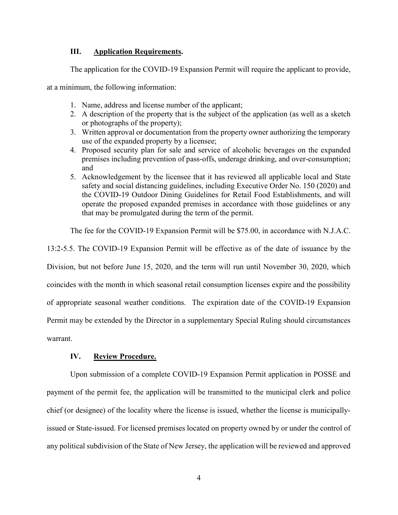#### III. Application Requirements.

The application for the COVID-19 Expansion Permit will require the applicant to provide,

at a minimum, the following information:

- 1. Name, address and license number of the applicant;
- 2. A description of the property that is the subject of the application (as well as a sketch or photographs of the property);
- 3. Written approval or documentation from the property owner authorizing the temporary use of the expanded property by a licensee;
- 4. Proposed security plan for sale and service of alcoholic beverages on the expanded premises including prevention of pass-offs, underage drinking, and over-consumption; and
- 5. Acknowledgement by the licensee that it has reviewed all applicable local and State safety and social distancing guidelines, including Executive Order No. 150 (2020) and the COVID-19 Outdoor Dining Guidelines for Retail Food Establishments, and will operate the proposed expanded premises in accordance with those guidelines or any that may be promulgated during the term of the permit.

The fee for the COVID-19 Expansion Permit will be \$75.00, in accordance with N.J.A.C.

13:2-5.5. The COVID-19 Expansion Permit will be effective as of the date of issuance by the Division, but not before June 15, 2020, and the term will run until November 30, 2020, which coincides with the month in which seasonal retail consumption licenses expire and the possibility of appropriate seasonal weather conditions. The expiration date of the COVID-19 Expansion Permit may be extended by the Director in a supplementary Special Ruling should circumstances warrant.

## IV. Review Procedure.

Upon submission of a complete COVID-19 Expansion Permit application in POSSE and payment of the permit fee, the application will be transmitted to the municipal clerk and police chief (or designee) of the locality where the license is issued, whether the license is municipallyissued or State-issued. For licensed premises located on property owned by or under the control of any political subdivision of the State of New Jersey, the application will be reviewed and approved